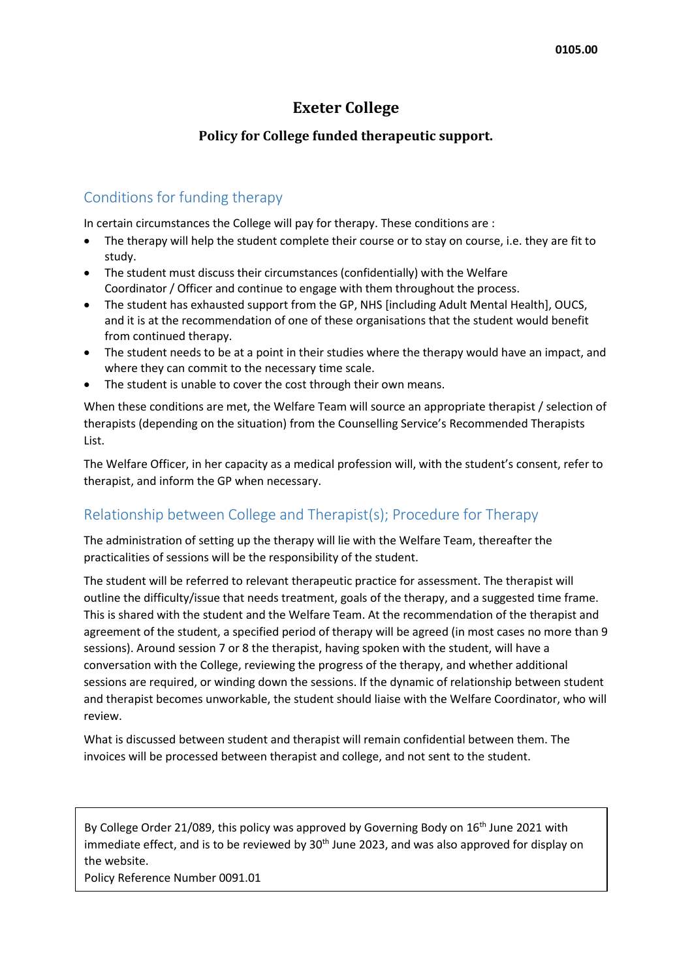## **Exeter College**

## **Policy for College funded therapeutic support.**

## Conditions for funding therapy

In certain circumstances the College will pay for therapy. These conditions are :

- The therapy will help the student complete their course or to stay on course, i.e. they are fit to study.
- The student must discuss their circumstances (confidentially) with the Welfare Coordinator / Officer and continue to engage with them throughout the process.
- The student has exhausted support from the GP, NHS [including Adult Mental Health], OUCS, and it is at the recommendation of one of these organisations that the student would benefit from continued therapy.
- The student needs to be at a point in their studies where the therapy would have an impact, and where they can commit to the necessary time scale.
- The student is unable to cover the cost through their own means.

When these conditions are met, the Welfare Team will source an appropriate therapist / selection of therapists (depending on the situation) from the Counselling Service's Recommended Therapists List.

The Welfare Officer, in her capacity as a medical profession will, with the student's consent, refer to therapist, and inform the GP when necessary.

## Relationship between College and Therapist(s); Procedure for Therapy

The administration of setting up the therapy will lie with the Welfare Team, thereafter the practicalities of sessions will be the responsibility of the student.

The student will be referred to relevant therapeutic practice for assessment. The therapist will outline the difficulty/issue that needs treatment, goals of the therapy, and a suggested time frame. This is shared with the student and the Welfare Team. At the recommendation of the therapist and agreement of the student, a specified period of therapy will be agreed (in most cases no more than 9 sessions). Around session 7 or 8 the therapist, having spoken with the student, will have a conversation with the College, reviewing the progress of the therapy, and whether additional sessions are required, or winding down the sessions. If the dynamic of relationship between student and therapist becomes unworkable, the student should liaise with the Welfare Coordinator, who will review.

What is discussed between student and therapist will remain confidential between them. The invoices will be processed between therapist and college, and not sent to the student.

By College Order 21/089, this policy was approved by Governing Body on  $16<sup>th</sup>$  June 2021 with immediate effect, and is to be reviewed by  $30<sup>th</sup>$  June 2023, and was also approved for display on the website.

Policy Reference Number 0091.01